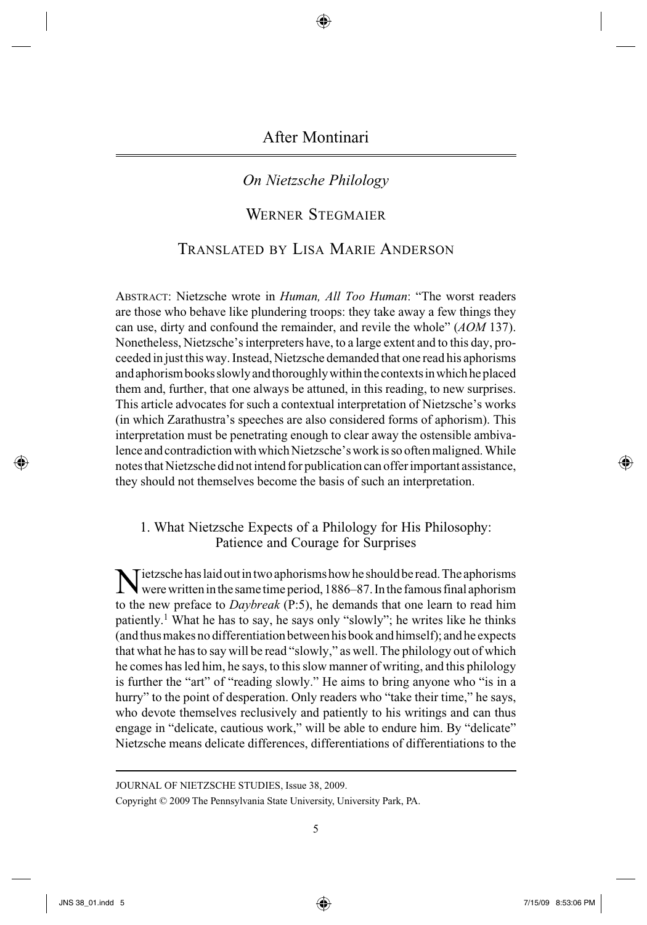After Montinari

# *On Nietzsche Philology*

# WERNER STEGMAIER

# TRANSLATED BY LISA MARIE ANDERSON

 ABSTRACT: Nietzsche wrote in *Human, All Too Human* : "The worst readers are those who behave like plundering troops: they take away a few things they can use, dirty and confound the remainder, and revile the whole" (*AOM* 137). Nonetheless, Nietzsche's interpreters have, to a large extent and to this day, proceeded in just this way. Instead, Nietzsche demanded that one read his aphorisms and aphorism books slowly and thoroughly within the contexts in which he placed them and, further, that one always be attuned, in this reading, to new surprises. This article advocates for such a contextual interpretation of Nietzsche's works (in which Zarathustra's speeches are also considered forms of aphorism). This interpretation must be penetrating enough to clear away the ostensible ambivalence and contradiction with which Nietzsche's work is so often maligned. While notes that Nietzsche did not intend for publication can offer important assistance, they should not themselves become the basis of such an interpretation.

### 1. What Nietzsche Expects of a Philology for His Philosophy: Patience and Courage for Surprises

 Nietzsche has laid out in two aphorisms how he should be read. The aphorisms were written in the same time period, 1886–87. In the famous final aphorism to the new preface to *Daybreak* (P:5), he demands that one learn to read him patiently.<sup>1</sup> What he has to say, he says only "slowly"; he writes like he thinks (and thus makes no differentiation between his book and himself); and he expects that what he has to say will be read "slowly," as well. The philology out of which he comes has led him, he says, to this slow manner of writing, and this philology is further the "art" of "reading slowly." He aims to bring anyone who "is in a hurry" to the point of desperation. Only readers who "take their time," he says, who devote themselves reclusively and patiently to his writings and can thus engage in "delicate, cautious work," will be able to endure him. By "delicate" Nietzsche means delicate differences, differentiations of differentiations to the

JOURNAL OF NIETZSCHE STUDIES, Issue 38, 2009.

Copyright © 2009 The Pennsylvania State University, University Park, PA.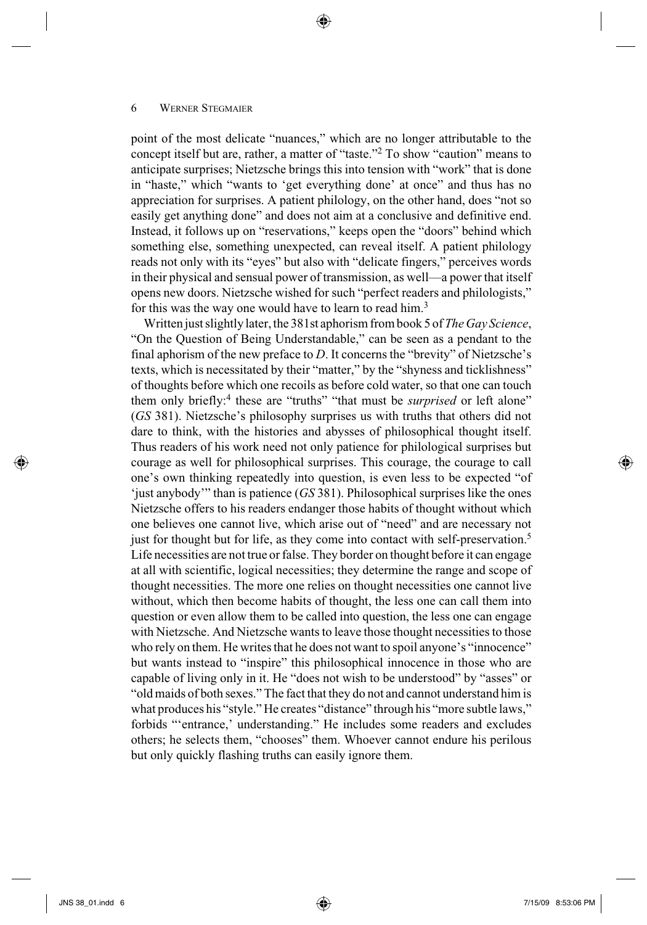point of the most delicate "nuances," which are no longer attributable to the concept itself but are, rather, a matter of "taste."<sup>2</sup> To show "caution" means to anticipate surprises; Nietzsche brings this into tension with "work" that is done in "haste," which "wants to 'get everything done' at once" and thus has no appreciation for surprises. A patient philology, on the other hand, does "not so easily get anything done" and does not aim at a conclusive and definitive end. Instead, it follows up on "reservations," keeps open the "doors" behind which something else, something unexpected, can reveal itself. A patient philology reads not only with its "eyes" but also with "delicate fingers," perceives words in their physical and sensual power of transmission, as well—a power that itself opens new doors. Nietzsche wished for such "perfect readers and philologists," for this was the way one would have to learn to read him.<sup>3</sup>

⊕

 Written just slightly later, the 381st aphorism from book 5 of *The Gay Science* , "On the Question of Being Understandable," can be seen as a pendant to the final aphorism of the new preface to  $D$ . It concerns the "brevity" of Nietzsche's texts, which is necessitated by their "matter," by the "shyness and ticklishness" of thoughts before which one recoils as before cold water, so that one can touch them only briefly:<sup>4</sup> these are "truths" "that must be *surprised* or left alone" ( *GS* 381). Nietzsche's philosophy surprises us with truths that others did not dare to think, with the histories and abysses of philosophical thought itself. Thus readers of his work need not only patience for philological surprises but courage as well for philosophical surprises. This courage, the courage to call one's own thinking repeatedly into question, is even less to be expected "of 'just anybody'" than is patience ( *GS* 381). Philosophical surprises like the ones Nietzsche offers to his readers endanger those habits of thought without which one believes one cannot live, which arise out of "need" and are necessary not just for thought but for life, as they come into contact with self-preservation.<sup>5</sup> Life necessities are not true or false. They border on thought before it can engage at all with scientific, logical necessities; they determine the range and scope of thought necessities. The more one relies on thought necessities one cannot live without, which then become habits of thought, the less one can call them into question or even allow them to be called into question, the less one can engage with Nietzsche. And Nietzsche wants to leave those thought necessities to those who rely on them. He writes that he does not want to spoil anyone's "innocence" but wants instead to "inspire" this philosophical innocence in those who are capable of living only in it. He "does not wish to be understood" by "asses" or "old maids of both sexes." The fact that they do not and cannot understand him is what produces his "style." He creates "distance" through his "more subtle laws," forbids "'entrance,' understanding." He includes some readers and excludes others; he selects them, "chooses" them. Whoever cannot endure his perilous but only quickly flashing truths can easily ignore them.

 $\leftrightarrow$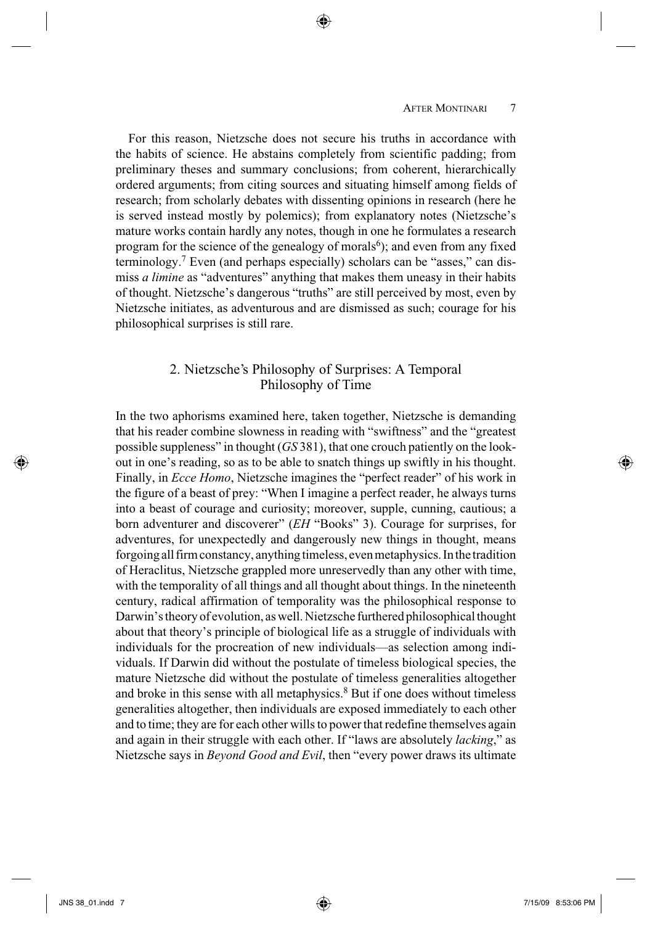#### AFTER MONTINARI<sup>7</sup>

 For this reason, Nietzsche does not secure his truths in accordance with the habits of science. He abstains completely from scientific padding; from preliminary theses and summary conclusions; from coherent, hierarchically ordered arguments; from citing sources and situating himself among fields of research; from scholarly debates with dissenting opinions in research (here he is served instead mostly by polemics); from explanatory notes (Nietzsche's mature works contain hardly any notes, though in one he formulates a research program for the science of the genealogy of morals<sup>6</sup>); and even from any fixed terminology. 7 Even (and perhaps especially) scholars can be "asses," can dismiss *a limine* as "adventures" anything that makes them uneasy in their habits of thought. Nietzsche's dangerous "truths" are still perceived by most, even by Nietzsche initiates, as adventurous and are dismissed as such; courage for his philosophical surprises is still rare.

⊕

### 2. Nietzsche's Philosophy of Surprises: A Temporal Philosophy of Time

 In the two aphorisms examined here, taken together, Nietzsche is demanding that his reader combine slowness in reading with "swiftness" and the "greatest possible suppleness" in thought ( *GS* 381), that one crouch patiently on the lookout in one's reading, so as to be able to snatch things up swiftly in his thought. Finally, in *Ecce Homo*, Nietzsche imagines the "perfect reader" of his work in the figure of a beast of prey: "When I imagine a perfect reader, he always turns into a beast of courage and curiosity; moreover, supple, cunning, cautious; a born adventurer and discoverer" (*EH* "Books" 3). Courage for surprises, for adventures, for unexpectedly and dangerously new things in thought, means forgoing all firm constancy, anything timeless, even metaphysics. In the tradition of Heraclitus, Nietzsche grappled more unreservedly than any other with time, with the temporality of all things and all thought about things. In the nineteenth century, radical affirmation of temporality was the philosophical response to Darwin's theory of evolution, as well. Nietzsche furthered philosophical thought about that theory's principle of biological life as a struggle of individuals with individuals for the procreation of new individuals—as selection among individuals. If Darwin did without the postulate of timeless biological species, the mature Nietzsche did without the postulate of timeless generalities altogether and broke in this sense with all metaphysics. 8 But if one does without timeless generalities altogether, then individuals are exposed immediately to each other and to time; they are for each other wills to power that redefine themselves again and again in their struggle with each other. If "laws are absolutely *lacking*," as Nietzsche says in *Beyond Good and Evil* , then "every power draws its ultimate

⊕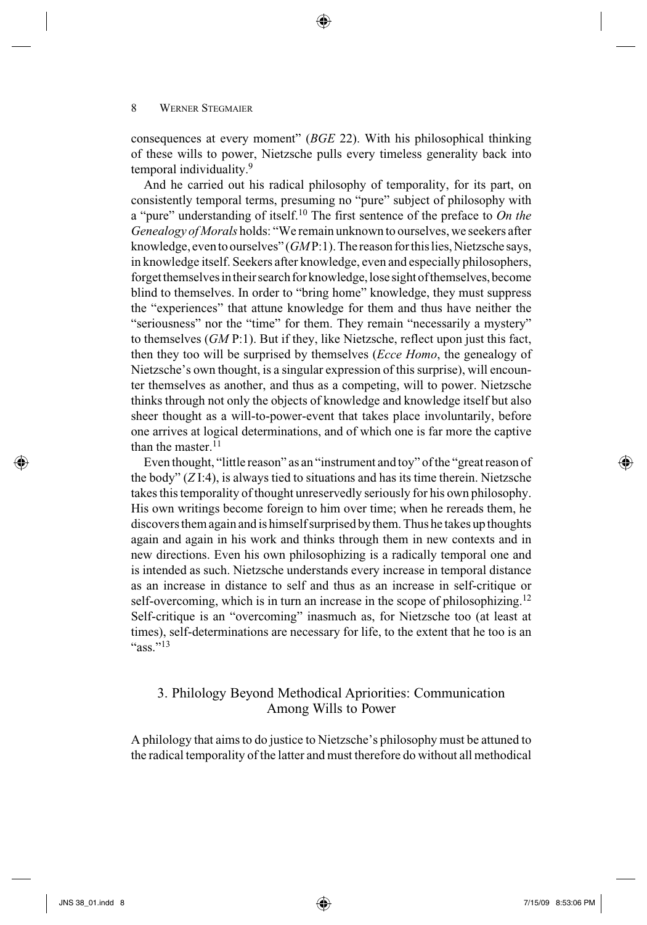consequences at every moment" (BGE 22). With his philosophical thinking of these wills to power, Nietzsche pulls every timeless generality back into temporal individuality.<sup>9</sup>

⊕

 And he carried out his radical philosophy of temporality, for its part, on consistently temporal terms, presuming no "pure" subject of philosophy with a "pure" understanding of itself. 10 The first sentence of the preface to *On the Genealogy of Morals* holds: "We remain unknown to ourselves, we seekers after knowledge, even to ourselves" (*GMP*:1). The reason for this lies, Nietzsche says, in knowledge itself. Seekers after knowledge, even and especially philosophers, forget themselves in their search for knowledge, lose sight of themselves, become blind to themselves. In order to "bring home" knowledge, they must suppress the "experiences" that attune knowledge for them and thus have neither the "seriousness" nor the "time" for them. They remain "necessarily a mystery" to themselves ( *GM* P:1). But if they, like Nietzsche, reflect upon just this fact, then they too will be surprised by themselves (*Ecce Homo*, the genealogy of Nietzsche's own thought, is a singular expression of this surprise), will encounter themselves as another, and thus as a competing, will to power. Nietzsche thinks through not only the objects of knowledge and knowledge itself but also sheer thought as a will-to-power-event that takes place involuntarily, before one arrives at logical determinations, and of which one is far more the captive than the master. $11$ 

 Even thought, "little reason" as an "instrument and toy" of the "great reason of the body"  $(ZI:4)$ , is always tied to situations and has its time therein. Nietzsche takes this temporality of thought unreservedly seriously for his own philosophy. His own writings become foreign to him over time; when he rereads them, he discovers them again and is himself surprised by them. Thus he takes up thoughts again and again in his work and thinks through them in new contexts and in new directions. Even his own philosophizing is a radically temporal one and is intended as such. Nietzsche understands every increase in temporal distance as an increase in distance to self and thus as an increase in self-critique or self-overcoming, which is in turn an increase in the scope of philosophizing.<sup>12</sup> Self-critique is an "overcoming" inasmuch as, for Nietzsche too (at least at times), self-determinations are necessary for life, to the extent that he too is an "ass." $^{13}$ 

### 3. Philology Beyond Methodical Apriorities: Communication Among Wills to Power

 A philology that aims to do justice to Nietzsche's philosophy must be attuned to the radical temporality of the latter and must therefore do without all methodical

⇔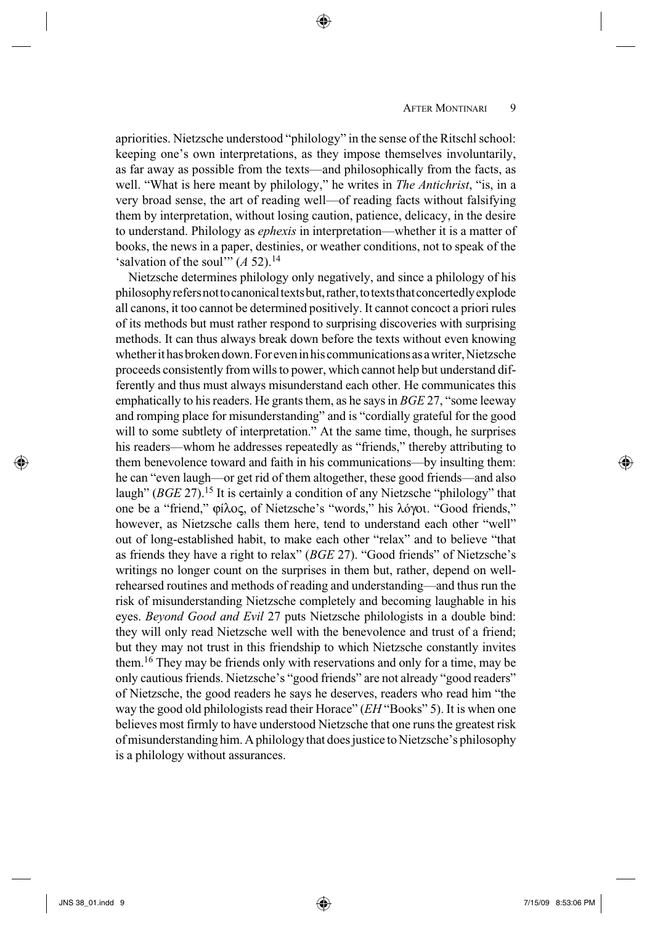apriorities. Nietzsche understood "philology" in the sense of the Ritschl school: keeping one's own interpretations, as they impose themselves involuntarily, as far away as possible from the texts—and philosophically from the facts, as well. "What is here meant by philology," he writes in *The Antichrist*, "is, in a very broad sense, the art of reading well—of reading facts without falsifying them by interpretation, without losing caution, patience, delicacy, in the desire to understand. Philology as *ephexis* in interpretation—whether it is a matter of books, the news in a paper, destinies, or weather conditions, not to speak of the 'salvation of the soul'"  $(A 52)$ .<sup>14</sup>

⊕

 Nietzsche determines philology only negatively, and since a philology of his philosophy refers not to canonical texts but, rather, to texts that concertedly explode all canons, it too cannot be determined positively. It cannot concoct a priori rules of its methods but must rather respond to surprising discoveries with surprising methods. It can thus always break down before the texts without even knowing whether it has broken down. For even in his communications as a writer, Nietzsche proceeds consistently from wills to power, which cannot help but understand differently and thus must always misunderstand each other. He communicates this emphatically to his readers. He grants them, as he says in *BGE* 27, "some leeway and romping place for misunderstanding" and is "cordially grateful for the good will to some subtlety of interpretation." At the same time, though, he surprises his readers—whom he addresses repeatedly as "friends," thereby attributing to them benevolence toward and faith in his communications—by insulting them: he can "even laugh—or get rid of them altogether, these good friends—and also laugh" (*BGE* 27).<sup>15</sup> It is certainly a condition of any Nietzsche "philology" that one be a "friend," ϕíλος, of Nietzsche's "words," his λóγοι. "Good friends," however, as Nietzsche calls them here, tend to understand each other "well" out of long-established habit, to make each other "relax" and to believe "that as friends they have a right to relax" (*BGE* 27). "Good friends" of Nietzsche's writings no longer count on the surprises in them but, rather, depend on wellrehearsed routines and methods of reading and understanding—and thus run the risk of misunderstanding Nietzsche completely and becoming laughable in his eyes. *Beyond Good and Evil* 27 puts Nietzsche philologists in a double bind: they will only read Nietzsche well with the benevolence and trust of a friend; but they may not trust in this friendship to which Nietzsche constantly invites them. 16 They may be friends only with reservations and only for a time, may be only cautious friends. Nietzsche's "good friends" are not already "good readers" of Nietzsche, the good readers he says he deserves, readers who read him "the way the good old philologists read their Horace" (*EH* "Books" 5). It is when one believes most firmly to have understood Nietzsche that one runs the greatest risk of misunderstanding him. A philology that does justice to Nietzsche's philosophy is a philology without assurances.

⊕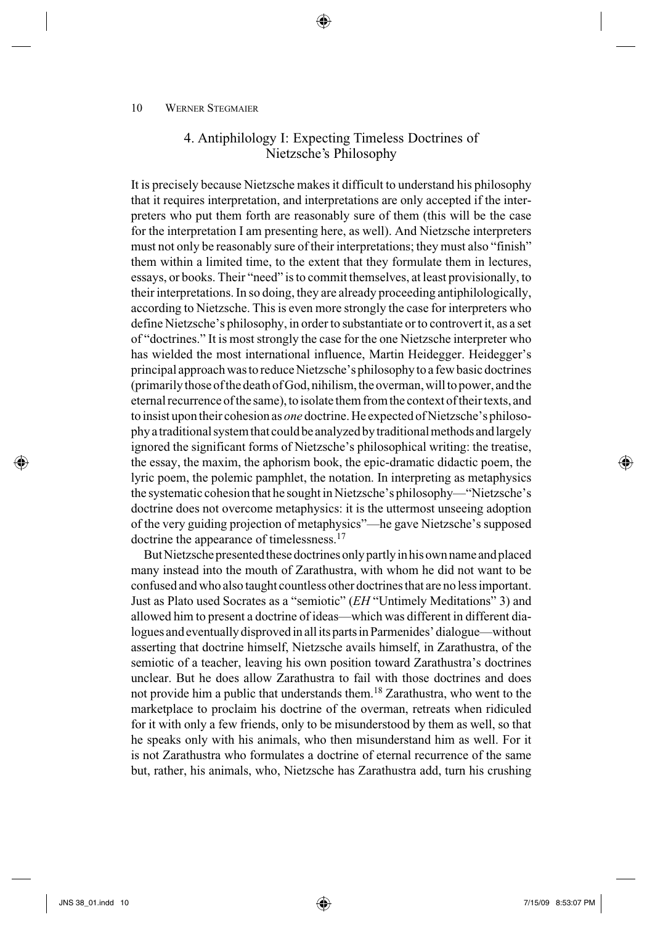# 4. Antiphilology I: Expecting Timeless Doctrines of Nietzsche's Philosophy

⊕

 It is precisely because Nietzsche makes it difficult to understand his philosophy that it requires interpretation, and interpretations are only accepted if the interpreters who put them forth are reasonably sure of them (this will be the case for the interpretation I am presenting here, as well). And Nietzsche interpreters must not only be reasonably sure of their interpretations; they must also "finish" them within a limited time, to the extent that they formulate them in lectures, essays, or books. Their "need" is to commit themselves, at least provisionally, to their interpretations. In so doing, they are already proceeding antiphilologically, according to Nietzsche. This is even more strongly the case for interpreters who define Nietzsche's philosophy, in order to substantiate or to controvert it, as a set of "doctrines." It is most strongly the case for the one Nietzsche interpreter who has wielded the most international influence, Martin Heidegger. Heidegger's principal approach was to reduce Nietzsche's philosophy to a few basic doctrines (primarily those of the death of God, nihilism, the overman, will to power, and the eternal recurrence of the same), to isolate them from the context of their texts, and to insist upon their cohesion as *one* doctrine. He expected of Nietzsche's philosophy a traditional system that could be analyzed by traditional methods and largely ignored the significant forms of Nietzsche's philosophical writing: the treatise, the essay, the maxim, the aphorism book, the epic-dramatic didactic poem, the lyric poem, the polemic pamphlet, the notation. In interpreting as metaphysics the systematic cohesion that he sought in Nietzsche's philosophy—"Nietzsche's doctrine does not overcome metaphysics: it is the uttermost unseeing adoption of the very guiding projection of metaphysics"—he gave Nietzsche's supposed doctrine the appearance of timelessness.<sup>17</sup>

 But Nietzsche presented these doctrines only partly in his own name and placed many instead into the mouth of Zarathustra, with whom he did not want to be confused and who also taught countless other doctrines that are no less important. Just as Plato used Socrates as a "semiotic" ( *EH* "Untimely Meditations" 3) and allowed him to present a doctrine of ideas—which was different in different dialogues and eventually disproved in all its parts in Parmenides' dialogue—without asserting that doctrine himself, Nietzsche avails himself, in Zarathustra, of the semiotic of a teacher, leaving his own position toward Zarathustra's doctrines unclear. But he does allow Zarathustra to fail with those doctrines and does not provide him a public that understands them. 18 Zarathustra, who went to the marketplace to proclaim his doctrine of the overman, retreats when ridiculed for it with only a few friends, only to be misunderstood by them as well, so that he speaks only with his animals, who then misunderstand him as well. For it is not Zarathustra who formulates a doctrine of eternal recurrence of the same but, rather, his animals, who, Nietzsche has Zarathustra add, turn his crushing

 $\leftrightarrow$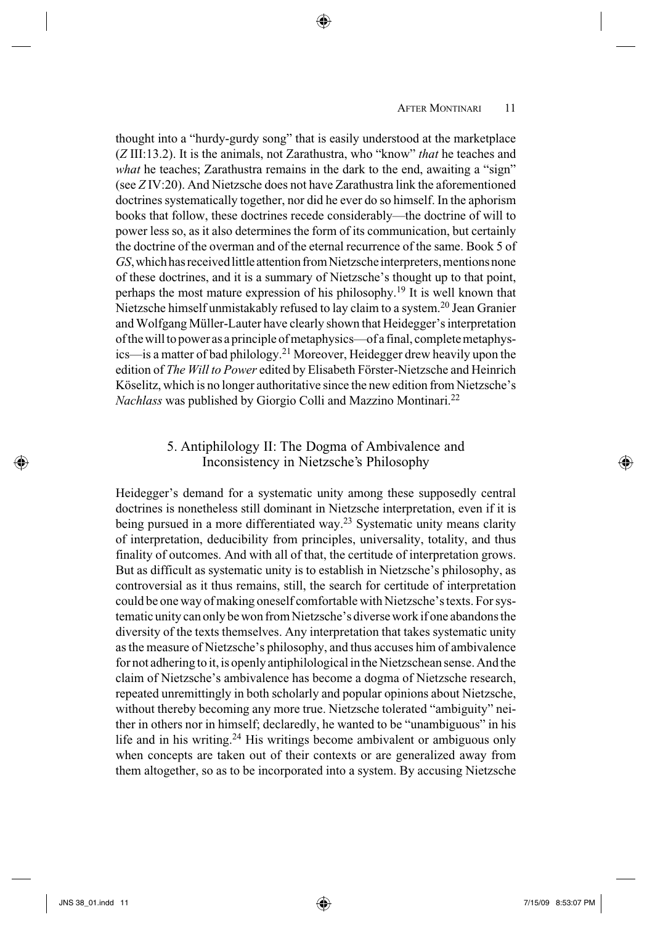thought into a "hurdy-gurdy song" that is easily understood at the marketplace ( *Z* III:13.2). It is the animals, not Zarathustra, who "know" *that* he teaches and *what* he teaches; Zarathustra remains in the dark to the end, awaiting a "sign" (see *Z* IV:20). And Nietzsche does not have Zarathustra link the aforementioned doctrines systematically together, nor did he ever do so himself. In the aphorism books that follow, these doctrines recede considerably—the doctrine of will to power less so, as it also determines the form of its communication, but certainly the doctrine of the overman and of the eternal recurrence of the same. Book 5 of *GS* , which has received little attention from Nietzsche interpreters, mentions none of these doctrines, and it is a summary of Nietzsche's thought up to that point, perhaps the most mature expression of his philosophy. 19 It is well known that Nietzsche himself unmistakably refused to lay claim to a system. 20 Jean Granier and Wolfgang Müller-Lauter have clearly shown that Heidegger's interpretation of the will to power as a principle of metaphysics—of a final, complete metaphysics—is a matter of bad philology. 21 Moreover, Heidegger drew heavily upon the edition of *The Will to Power* edited by Elisabeth Förster-Nietzsche and Heinrich Köselitz, which is no longer authoritative since the new edition from Nietzsche's *Nachlass* was published by Giorgio Colli and Mazzino Montinari. 22

⊕

# 5. Antiphilology II: The Dogma of Ambivalence and Inconsistency in Nietzsche's Philosophy

 Heidegger's demand for a systematic unity among these supposedly central doctrines is nonetheless still dominant in Nietzsche interpretation, even if it is being pursued in a more differentiated way.<sup>23</sup> Systematic unity means clarity of interpretation, deducibility from principles, universality, totality, and thus finality of outcomes. And with all of that, the certitude of interpretation grows. But as difficult as systematic unity is to establish in Nietzsche's philosophy, as controversial as it thus remains, still, the search for certitude of interpretation could be one way of making oneself comfortable with Nietzsche's texts. For systematic unity can only be won from Nietzsche's diverse work if one abandons the diversity of the texts themselves. Any interpretation that takes systematic unity as the measure of Nietzsche's philosophy, and thus accuses him of ambivalence for not adhering to it, is openly antiphilological in the Nietzschean sense. And the claim of Nietzsche's ambivalence has become a dogma of Nietzsche research, repeated unremittingly in both scholarly and popular opinions about Nietzsche, without thereby becoming any more true. Nietzsche tolerated "ambiguity" neither in others nor in himself; declaredly, he wanted to be "unambiguous" in his life and in his writing. 24 His writings become ambivalent or ambiguous only when concepts are taken out of their contexts or are generalized away from them altogether, so as to be incorporated into a system. By accusing Nietzsche

⊕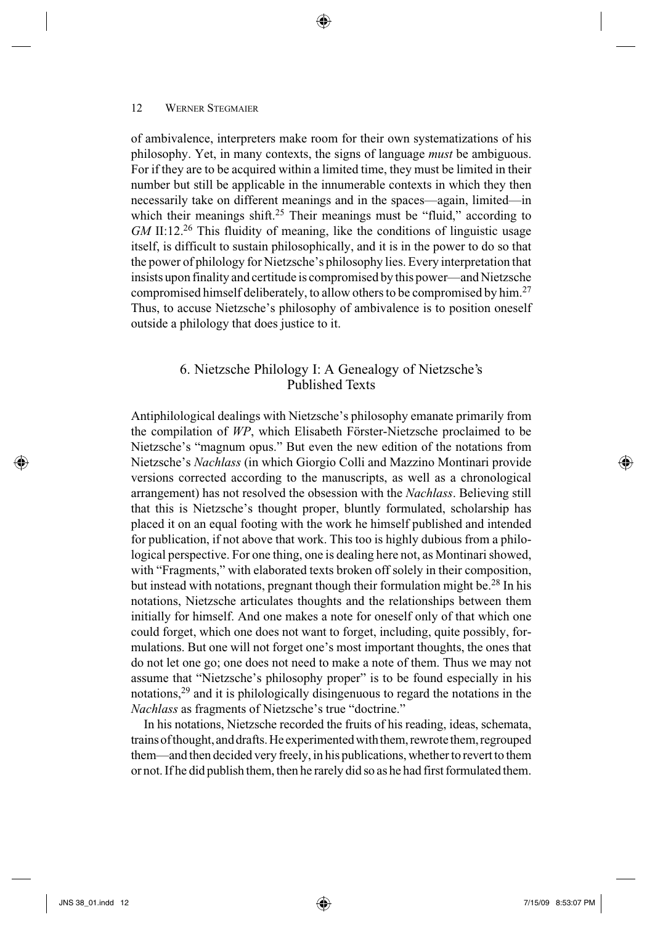of ambivalence, interpreters make room for their own systematizations of his philosophy. Yet, in many contexts, the signs of language *must* be ambiguous. For if they are to be acquired within a limited time, they must be limited in their number but still be applicable in the innumerable contexts in which they then necessarily take on different meanings and in the spaces—again, limited—in which their meanings shift.<sup>25</sup> Their meanings must be "fluid," according to *GM* II:12<sup>26</sup> This fluidity of meaning, like the conditions of linguistic usage itself, is difficult to sustain philosophically, and it is in the power to do so that the power of philology for Nietzsche's philosophy lies. Every interpretation that insists upon finality and certitude is compromised by this power—and Nietzsche compromised himself deliberately, to allow others to be compromised by him.<sup>27</sup> Thus, to accuse Nietzsche's philosophy of ambivalence is to position oneself outside a philology that does justice to it.

⊕

### 6. Nietzsche Philology I: A Genealogy of Nietzsche's Published Texts

 Antiphilological dealings with Nietzsche's philosophy emanate primarily from the compilation of WP, which Elisabeth Förster-Nietzsche proclaimed to be Nietzsche's "magnum opus." But even the new edition of the notations from Nietzsche's *Nachlass* (in which Giorgio Colli and Mazzino Montinari provide versions corrected according to the manuscripts, as well as a chronological arrangement) has not resolved the obsession with the *Nachlass* . Believing still that this is Nietzsche's thought proper, bluntly formulated, scholarship has placed it on an equal footing with the work he himself published and intended for publication, if not above that work. This too is highly dubious from a philological perspective. For one thing, one is dealing here not, as Montinari showed, with "Fragments," with elaborated texts broken off solely in their composition, but instead with notations, pregnant though their formulation might be.<sup>28</sup> In his notations, Nietzsche articulates thoughts and the relationships between them initially for himself. And one makes a note for oneself only of that which one could forget, which one does not want to forget, including, quite possibly, formulations. But one will not forget one's most important thoughts, the ones that do not let one go; one does not need to make a note of them. Thus we may not assume that "Nietzsche's philosophy proper" is to be found especially in his notations, 29 and it is philologically disingenuous to regard the notations in the *Nachlass* as fragments of Nietzsche's true "doctrine."

 In his notations, Nietzsche recorded the fruits of his reading, ideas, schemata, trains of thought, and drafts. He experimented with them, rewrote them, regrouped them—and then decided very freely, in his publications, whether to revert to them or not. If he did publish them, then he rarely did so as he had first formulated them.

⇔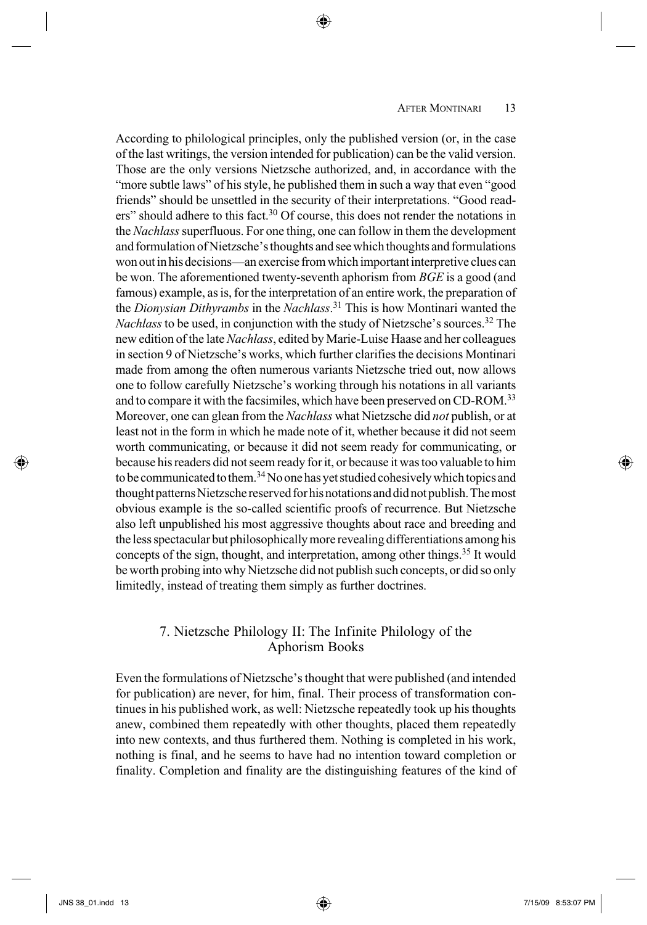According to philological principles, only the published version (or, in the case of the last writings, the version intended for publication) can be the valid version. Those are the only versions Nietzsche authorized, and, in accordance with the "more subtle laws" of his style, he published them in such a way that even "good friends" should be unsettled in the security of their interpretations. "Good readers" should adhere to this fact. 30 Of course, this does not render the notations in the *Nachlass* superfluous. For one thing, one can follow in them the development and formulation of Nietzsche's thoughts and see which thoughts and formulations won out in his decisions—an exercise from which important interpretive clues can be won. The aforementioned twenty-seventh aphorism from *BGE* is a good (and famous) example, as is, for the interpretation of an entire work, the preparation of the *Dionysian Dithyrambs* in the *Nachlass* . 31 This is how Montinari wanted the *Nachlass* to be used, in conjunction with the study of Nietzsche's sources.<sup>32</sup> The new edition of the late *Nachlass* , edited by Marie-Luise Haase and her colleagues in section 9 of Nietzsche's works, which further clarifies the decisions Montinari made from among the often numerous variants Nietzsche tried out, now allows one to follow carefully Nietzsche's working through his notations in all variants and to compare it with the facsimiles, which have been preserved on CD-ROM.<sup>33</sup> Moreover, one can glean from the *Nachlass* what Nietzsche did *not* publish, or at least not in the form in which he made note of it, whether because it did not seem worth communicating, or because it did not seem ready for communicating, or because his readers did not seem ready for it, or because it was too valuable to him to be communicated to them.<sup>34</sup> No one has yet studied cohesively which topics and thought patterns Nietzsche reserved for his notations and did not publish. The most obvious example is the so-called scientific proofs of recurrence. But Nietzsche also left unpublished his most aggressive thoughts about race and breeding and the less spectacular but philosophically more revealing differentiations among his concepts of the sign, thought, and interpretation, among other things. 35 It would be worth probing into why Nietzsche did not publish such concepts, or did so only limitedly, instead of treating them simply as further doctrines.

⊕

# 7. Nietzsche Philology II: The Infinite Philology of the Aphorism Books

 Even the formulations of Nietzsche's thought that were published (and intended for publication) are never, for him, final. Their process of transformation continues in his published work, as well: Nietzsche repeatedly took up his thoughts anew, combined them repeatedly with other thoughts, placed them repeatedly into new contexts, and thus furthered them. Nothing is completed in his work, nothing is final, and he seems to have had no intention toward completion or finality. Completion and finality are the distinguishing features of the kind of

⊕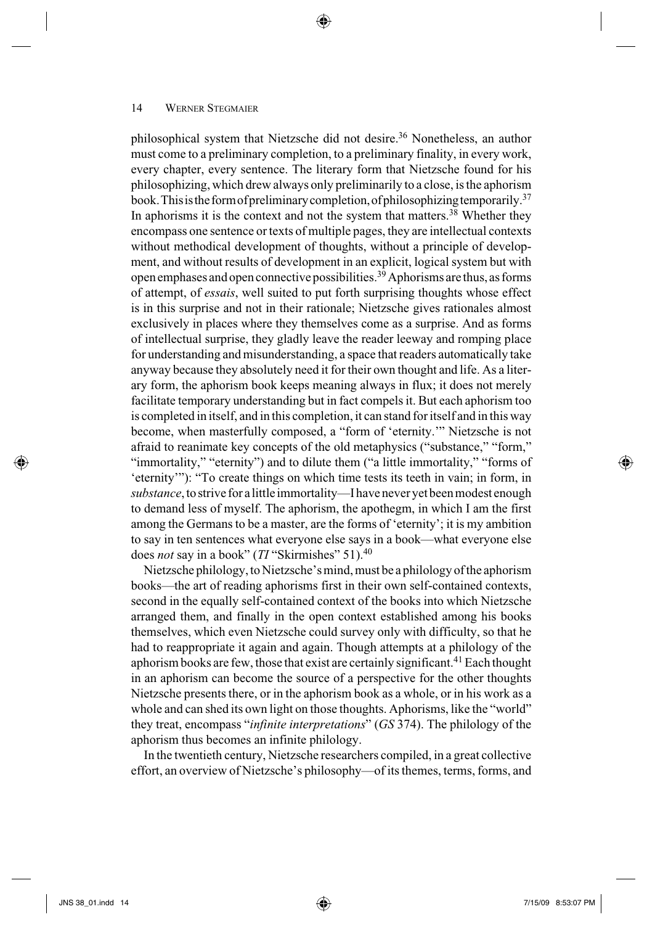philosophical system that Nietzsche did not desire. 36 Nonetheless, an author must come to a preliminary completion, to a preliminary finality, in every work, every chapter, every sentence. The literary form that Nietzsche found for his philosophizing, which drew always only preliminarily to a close, is the aphorism book. This is the form of preliminary completion, of philosophizing temporarily. 37 In aphorisms it is the context and not the system that matters.<sup>38</sup> Whether they encompass one sentence or texts of multiple pages, they are intellectual contexts without methodical development of thoughts, without a principle of development, and without results of development in an explicit, logical system but with open emphases and open connective possibilities. 39 Aphorisms are thus, as forms of attempt, of *essais* , well suited to put forth surprising thoughts whose effect is in this surprise and not in their rationale; Nietzsche gives rationales almost exclusively in places where they themselves come as a surprise. And as forms of intellectual surprise, they gladly leave the reader leeway and romping place for understanding and misunderstanding, a space that readers automatically take anyway because they absolutely need it for their own thought and life. As a literary form, the aphorism book keeps meaning always in flux; it does not merely facilitate temporary understanding but in fact compels it. But each aphorism too is completed in itself, and in this completion, it can stand for itself and in this way become, when masterfully composed, a "form of 'eternity.'" Nietzsche is not afraid to reanimate key concepts of the old metaphysics ("substance," "form," "immortality," "eternity") and to dilute them ("a little immortality," "forms of 'eternity'"): "To create things on which time tests its teeth in vain; in form, in *substance* , to strive for a little immortality—I have never yet been modest enough to demand less of myself. The aphorism, the apothegm, in which I am the first among the Germans to be a master, are the forms of 'eternity'; it is my ambition to say in ten sentences what everyone else says in a book—what everyone else does *not* say in a book" (*TI* "Skirmishes" 51).<sup>40</sup>

⊕

 Nietzsche philology, to Nietzsche's mind, must be a philology of the aphorism books—the art of reading aphorisms first in their own self-contained contexts, second in the equally self-contained context of the books into which Nietzsche arranged them, and finally in the open context established among his books themselves, which even Nietzsche could survey only with difficulty, so that he had to reappropriate it again and again. Though attempts at a philology of the aphorism books are few, those that exist are certainly significant.<sup>41</sup> Each thought in an aphorism can become the source of a perspective for the other thoughts Nietzsche presents there, or in the aphorism book as a whole, or in his work as a whole and can shed its own light on those thoughts. Aphorisms, like the "world" they treat, encompass " *infinite interpretations* " ( *GS* 374). The philology of the aphorism thus becomes an infinite philology.

 In the twentieth century, Nietzsche researchers compiled, in a great collective effort, an overview of Nietzsche's philosophy—of its themes, terms, forms, and

 $\leftrightarrow$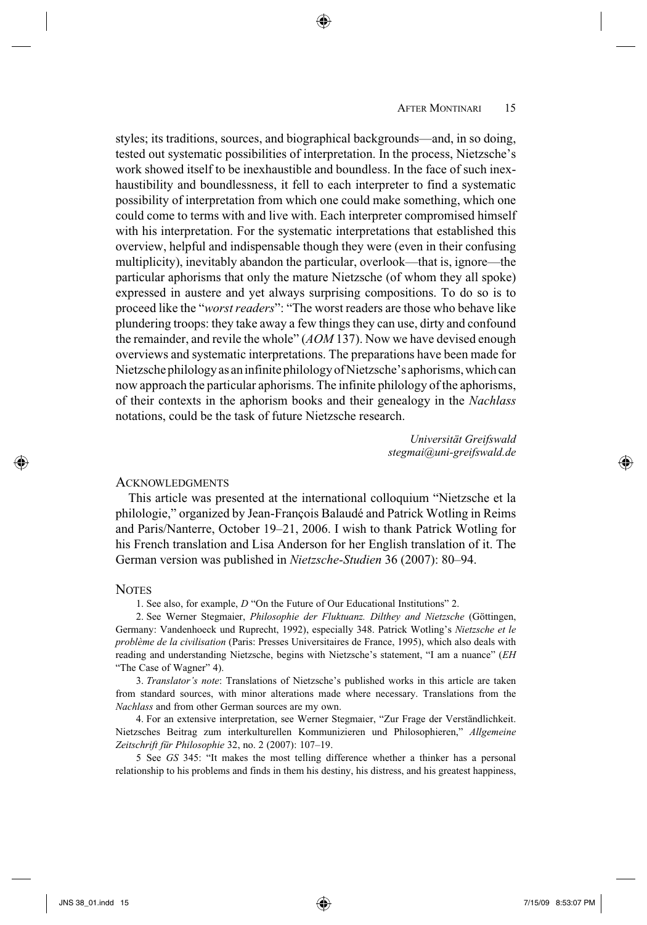styles; its traditions, sources, and biographical backgrounds—and, in so doing, tested out systematic possibilities of interpretation. In the process, Nietzsche's work showed itself to be inexhaustible and boundless. In the face of such inexhaustibility and boundlessness, it fell to each interpreter to find a systematic possibility of interpretation from which one could make something, which one could come to terms with and live with. Each interpreter compromised himself with his interpretation. For the systematic interpretations that established this overview, helpful and indispensable though they were (even in their confusing multiplicity), inevitably abandon the particular, overlook—that is, ignore—the particular aphorisms that only the mature Nietzsche (of whom they all spoke) expressed in austere and yet always surprising compositions. To do so is to proceed like the "*worst readers*": "The worst readers are those who behave like plundering troops: they take away a few things they can use, dirty and confound the remainder, and revile the whole" (*AOM* 137). Now we have devised enough overviews and systematic interpretations. The preparations have been made for Nietzsche philology as an infinite philology of Nietzsche's aphorisms, which can now approach the particular aphorisms. The infinite philology of the aphorisms, of their contexts in the aphorism books and their genealogy in the *Nachlass* notations, could be the task of future Nietzsche research.

> *Universität Greifswald stegmai@uni-greifswald.de*

### **ACKNOWLEDGMENTS**

 This article was presented at the international colloquium "Nietzsche et la philologie," organized by Jean-François Balaudé and Patrick Wotling in Reims and Paris/Nanterre, October 19–21, 2006. I wish to thank Patrick Wotling for his French translation and Lisa Anderson for her English translation of it. The German version was published in *Nietzsche-Studien* 36 (2007): 80–94.

#### **NOTES**

1. See also, for example, *D* "On the Future of Our Educational Institutions" 2.

 2. See Werner Stegmaier, *Philosophie der Fluktuanz. Dilthey and Nietzsche* (Göttingen, Germany: Vandenhoeck und Ruprecht, 1992), especially 348. Patrick Wotling's *Nietzsche et le problème de la civilisation* (Paris: Presses Universitaires de France, 1995), which also deals with reading and understanding Nietzsche, begins with Nietzsche's statement, "I am a nuance" (*EH*  "The Case of Wagner" 4).

 3. *Translator's note*: Translations of Nietzsche's published works in this article are taken from standard sources, with minor alterations made where necessary. Translations from the *Nachlass* and from other German sources are my own.

 4. For an extensive interpretation, see Werner Stegmaier, "Zur Frage der Verständlichkeit. Nietzsches Beitrag zum interkulturellen Kommunizieren und Philosophieren," *Allgemeine Zeitschrift für Philosophie* 32, no. 2 (2007): 107–19.

 5 See *GS* 345: "It makes the most telling difference whether a thinker has a personal relationship to his problems and finds in them his destiny, his distress, and his greatest happiness,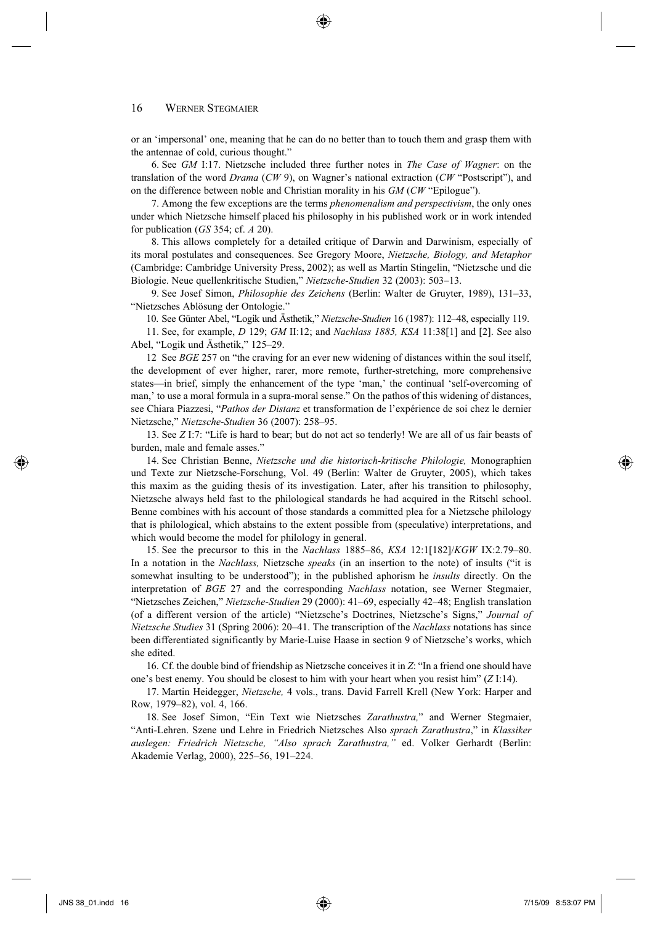or an 'impersonal' one, meaning that he can do no better than to touch them and grasp them with the antennae of cold, curious thought."

 6. See *GM* I:17. Nietzsche included three further notes in *The Case of Wagner*: on the translation of the word *Drama* (*CW* 9), on Wagner's national extraction (*CW* "Postscript"), and on the difference between noble and Christian morality in his *GM* (*CW* "Epilogue").

 7. Among the few exceptions are the terms *phenomenalism and perspectivism*, the only ones under which Nietzsche himself placed his philosophy in his published work or in work intended for publication (*GS* 354; cf. *A* 20).

 8. This allows completely for a detailed critique of Darwin and Darwinism, especially of its moral postulates and consequences. See Gregory Moore, *Nietzsche, Biology, and Metaphor* (Cambridge: Cambridge University Press, 2002); as well as Martin Stingelin, "Nietzsche und die Biologie. Neue quellenkritische Studien," *Nietzsche-Studien* 32 (2003): 503–13.

 9. See Josef Simon, *Philosophie des Zeichens* (Berlin: Walter de Gruyter, 1989), 131–33, "Nietzsches Ablösung der Ontologie."

10. See Günter Abel, "Logik und Ästhetik," *Nietzsche-Studien* 16 (1987): 112–48, especially 119.

 11. See, for example, *D* 129; *GM* II:12; and *Nachlass 1885, KSA* 11:38[1] and [2]. See also Abel, "Logik und Ästhetik," 125–29.

12 See *BGE* 257 on "the craving for an ever new widening of distances within the soul itself, the development of ever higher, rarer, more remote, further-stretching, more comprehensive states—in brief, simply the enhancement of the type 'man,' the continual 'self-overcoming of man,' to use a moral formula in a supra-moral sense." On the pathos of this widening of distances, see Chiara Piazzesi, "*Pathos der Distanz* et transformation de l'expérience de soi chez le dernier Nietzsche," *Nietzsche-Studien* 36 (2007): 258–95.

 13. See *Z* I:7: "Life is hard to bear; but do not act so tenderly! We are all of us fair beasts of burden, male and female asses."

14 . See Christian Benne, *Nietzsche und die historisch-kritische Philologie,* Monographien und Texte zur Nietzsche-Forschung, Vol. 49 (Berlin: Walter de Gruyter, 2005), which takes this maxim as the guiding thesis of its investigation. Later, after his transition to philosophy, Nietzsche always held fast to the philological standards he had acquired in the Ritschl school. Benne combines with his account of those standards a committed plea for a Nietzsche philology that is philological, which abstains to the extent possible from (speculative) interpretations, and which would become the model for philology in general.

15 . See the precursor to this in the *Nachlass* 1885–86, *KSA* 12:1[182]/*KGW* IX:2.79–80. In a notation in the *Nachlass,* Nietzsche *speaks* (in an insertion to the note) of insults ("it is somewhat insulting to be understood"); in the published aphorism he *insults* directly. On the interpretation of *BGE* 27 and the corresponding *Nachlass* notation, see Werner Stegmaier, "Nietzsches Zeichen," *Nietzsche-Studien* 29 (2000): 41–69, especially 42–48; English translation (of a different version of the article) "Nietzsche's Doctrines, Nietzsche's Signs," *Journal of Nietzsche Studies* 31 (Spring 2006): 20–41. The transcription of the *Nachlass* notations has since been differentiated significantly by Marie-Luise Haase in section 9 of Nietzsche's works, which she edited.

 16. Cf. the double bind of friendship as Nietzsche conceives it in *Z*: "In a friend one should have one's best enemy. You should be closest to him with your heart when you resist him" (*Z* I:14).

 17. Martin Heidegger, *Nietzsche,* 4 vols., trans. David Farrell Krell (New York: Harper and Row, 1979–82), vol. 4, 166.

 18. See Josef Simon, "Ein Text wie Nietzsches *Zarathustra,*" and Werner Stegmaier, "Anti-Lehren. Szene und Lehre in Friedrich Nietzsches Also *sprach Zarathustra*," in *Klassiker auslegen: Friedrich Nietzsche, "Also sprach Zarathustra,"* ed. Volker Gerhardt (Berlin: Akademie Verlag, 2000), 225–56, 191–224.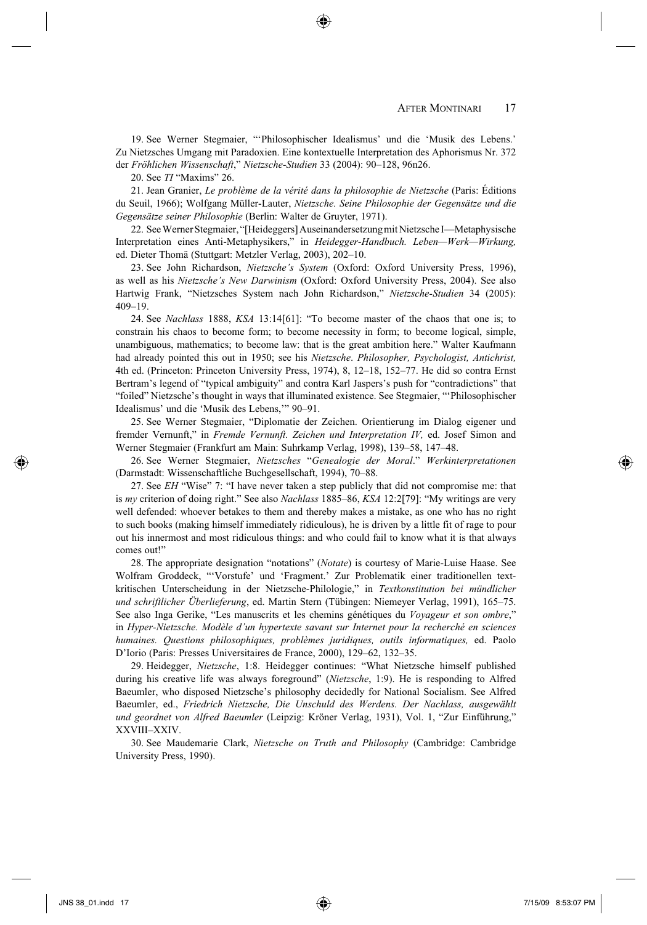19. See Werner Stegmaier, "'Philosophischer Idealismus' und die 'Musik des Lebens.' Zu Nietzsches Umgang mit Paradoxien. Eine kontextuelle Interpretation des Aphorismus Nr. 372 der *Fröhlichen Wissenschaft*," *Nietzsche-Studien* 33 (2004): 90–128, 96n26.

20 . See *TI* "Maxims" 26.

21 . Jean Granier, *Le problème de la vérité dans la philosophie de Nietzsche* (Paris: Éditions du Seuil, 1966); Wolfgang Müller-Lauter, *Nietzsche. Seine Philosophie der Gegensätze und die Gegensätze seiner Philosophie* (Berlin: Walter de Gruyter, 1971).

22 . See Werner Stegmaier, "[Heideggers] Auseinandersetzung mit Nietzsche I—Metaphysische Interpretation eines Anti-Metaphysikers," in *Heidegger-Handbuch. Leben—Werk—Wirkung,* ed. Dieter Thomä (Stuttgart: Metzler Verlag, 2003), 202–10.

23 . See John Richardson, *Nietzsche's System* (Oxford: Oxford University Press, 1996), as well as his *Nietzsche's New Darwinism* (Oxford: Oxford University Press, 2004). See also Hartwig Frank, "Nietzsches System nach John Richardson," *Nietzsche-Studien* 34 (2005): 409–19.

 24. See *Nachlass* 1888, *KSA* 13:14[61]: "To become master of the chaos that one is; to constrain his chaos to become form; to become necessity in form; to become logical, simple, unambiguous, mathematics; to become law: that is the great ambition here." Walter Kaufmann had already pointed this out in 1950; see his *Nietzsche*. *Philosopher, Psychologist, Antichrist,*  4th ed. (Princeton: Princeton University Press, 1974), 8, 12–18, 152–77. He did so contra Ernst Bertram's legend of "typical ambiguity" and contra Karl Jaspers's push for "contradictions" that "foiled" Nietzsche's thought in ways that illuminated existence. See Stegmaier, "'Philosophischer Idealismus' und die 'Musik des Lebens,'" 90–91.

 25. See Werner Stegmaier, "Diplomatie der Zeichen. Orientierung im Dialog eigener und fremder Vernunft," in *Fremde Vernunft. Zeichen und Interpretation IV,* ed. Josef Simon and Werner Stegmaier (Frankfurt am Main: Suhrkamp Verlag, 1998), 139–58, 147–48.

26 . See Werner Stegmaier, *Nietzsches* "*Genealogie der Moral*." *Werkinterpretationen*  (Darmstadt: Wissenschaftliche Buchgesellschaft, 1994), 70–88.

 27. See *EH* "Wise" 7: "I have never taken a step publicly that did not compromise me: that is *my* criterion of doing right." See also *Nachlass* 1885–86, *KSA* 12:2[79]: "My writings are very well defended: whoever betakes to them and thereby makes a mistake, as one who has no right to such books (making himself immediately ridiculous), he is driven by a little fit of rage to pour out his innermost and most ridiculous things: and who could fail to know what it is that always comes out!"

 28. The appropriate designation "notations" (*Notate*) is courtesy of Marie-Luise Haase. See Wolfram Groddeck, "'Vorstufe' und 'Fragment.' Zur Problematik einer traditionellen textkritischen Unterscheidung in der Nietzsche-Philologie," in *Textkonstitution bei mündlicher und schriftlicher Überlieferung*, ed. Martin Stern (Tübingen: Niemeyer Verlag, 1991), 165–75. See also Inga Gerike, "Les manuscrits et les chemins génétiques du *Voyageur et son ombre*," in *Hyper-Nietzsche. Modèle d'un hypertexte savant sur Internet pour la recherché en sciences humaines. Questions philosophiques, problèmes juridiques, outils informatiques,* ed. Paolo D'Iorio (Paris: Presses Universitaires de France, 2000), 129–62, 132–35.

29 . Heidegger, *Nietzsche*, 1:8. Heidegger continues: "What Nietzsche himself published during his creative life was always foreground" (*Nietzsche*, 1:9). He is responding to Alfred Baeumler, who disposed Nietzsche's philosophy decidedly for National Socialism. See Alfred Baeumler, ed., *Friedrich Nietzsche, Die Unschuld des Werdens. Der Nachlass, ausgewählt und geordnet von Alfred Baeumler* (Leipzig: Kröner Verlag, 1931), Vol. 1, "Zur Einführung," XXVIII–XXIV.

30 . See Maudemarie Clark, *Nietzsche on Truth and Philosophy* (Cambridge: Cambridge University Press, 1990).

(⊕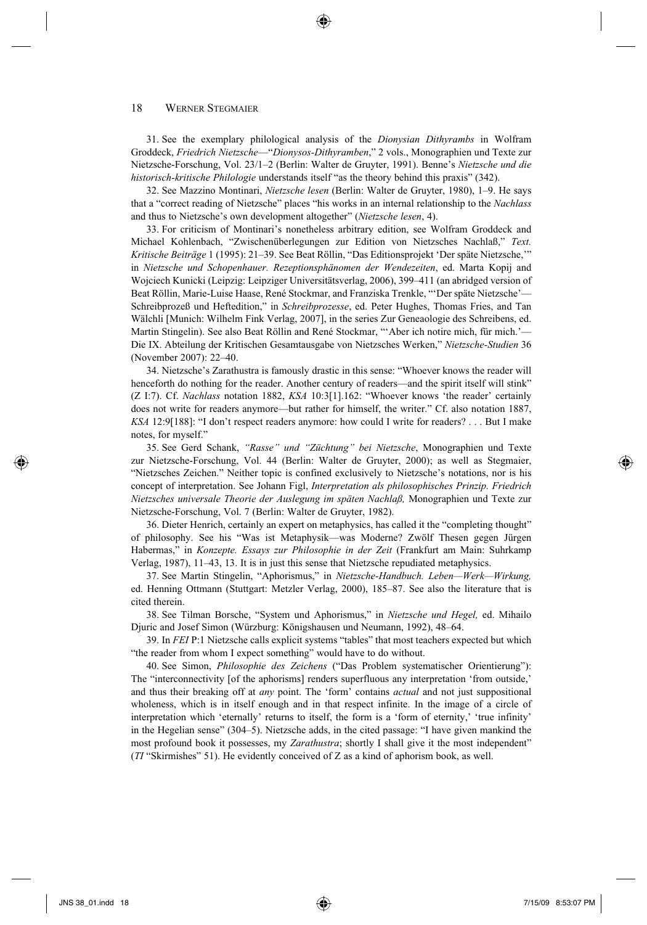31 . See the exemplary philological analysis of the *Dionysian Dithyrambs* in Wolfram Groddeck, *Friedrich Nietzsche*—"*Dionysos-Dithyramben*," 2 vols., Monographien und Texte zur Nietzsche-Forschung, Vol. 23/1–2 (Berlin: Walter de Gruyter, 1991). Benne's *Nietzsche und die historisch-kritische Philologie* understands itself "as the theory behind this praxis" (342).

 32. See Mazzino Montinari, *Nietzsche lesen* (Berlin: Walter de Gruyter, 1980), 1–9. He says that a "correct reading of Nietzsche" places "his works in an internal relationship to the *Nachlass*  and thus to Nietzsche's own development altogether" (*Nietzsche lesen*, 4).

33 . For criticism of Montinari's nonetheless arbitrary edition, see Wolfram Groddeck and Michael Kohlenbach, "Zwischenüberlegungen zur Edition von Nietzsches Nachlaß," *Text. Kritische Beiträge* 1 (1995): 21–39. See Beat Röllin, "Das Editionsprojekt 'Der späte Nietzsche,'" in *Nietzsche und Schopenhauer. Rezeptionsphänomen der Wendezeiten*, ed. Marta Kopij and Wojciech Kunicki (Leipzig: Leipziger Universitätsverlag, 2006), 399–411 (an abridged version of Beat Röllin, Marie-Luise Haase, René Stockmar, and Franziska Trenkle, "'Der späte Nietzsche'— Schreibprozeß und Heftedition," in *Schreibprozesse*, ed. Peter Hughes, Thomas Fries, and Tan Wälchli [Munich: Wilhelm Fink Verlag, 2007], in the series Zur Geneaologie des Schreibens, ed. Martin Stingelin). See also Beat Röllin and René Stockmar, "'Aber ich notire mich, für mich.'— Die IX. Abteilung der Kritischen Gesamtausgabe von Nietzsches Werken," *Nietzsche-Studien* 36 (November 2007): 22–40.

34 . Nietzsche's Zarathustra is famously drastic in this sense: "Whoever knows the reader will henceforth do nothing for the reader. Another century of readers—and the spirit itself will stink" (Z I:7). Cf. *Nachlass* notation 1882, *KSA* 10:3[1].162: "Whoever knows 'the reader' certainly does not write for readers anymore—but rather for himself, the writer." Cf. also notation 1887, *KSA* 12:9[188]: "I don't respect readers anymore: how could I write for readers? . . . But I make notes, for myself."

35 . See Gerd Schank, *"Rasse" und "Züchtung" bei Nietzsche*, Monographien und Texte zur Nietzsche-Forschung, Vol. 44 (Berlin: Walter de Gruyter, 2000); as well as Stegmaier, "Nietzsches Zeichen." Neither topic is confined exclusively to Nietzsche's notations, nor is his concept of interpretation. See Johann Figl, *Interpretation als philosophisches Prinzip. Friedrich Nietzsches universale Theorie der Auslegung im späten Nachlaß,* Monographien und Texte zur Nietzsche-Forschung, Vol. 7 (Berlin: Walter de Gruyter, 1982).

 36. Dieter Henrich, certainly an expert on metaphysics, has called it the "completing thought" of philosophy. See his "Was ist Metaphysik—was Moderne? Zwölf Thesen gegen Jürgen Habermas," in *Konzepte. Essays zur Philosophie in der Zeit* (Frankfurt am Main: Suhrkamp Verlag, 1987), 11–43, 13. It is in just this sense that Nietzsche repudiated metaphysics.

 37. See Martin Stingelin, "Aphorismus," in *Nietzsche-Handbuch. Leben—Werk—Wirkung,*  ed. Henning Ottmann (Stuttgart: Metzler Verlag, 2000), 185–87. See also the literature that is cited therein.

38 . See Tilman Borsche, "System und Aphorismus," in *Nietzsche und Hegel,* ed. Mihailo Djuric and Josef Simon (Würzburg: Königshausen und Neumann, 1992), 48–64.

39 . In *FEI* P:1 Nietzsche calls explicit systems "tables" that most teachers expected but which "the reader from whom I expect something" would have to do without.

40 . See Simon, *Philosophie des Zeichens* ("Das Problem systematischer Orientierung"): The "interconnectivity [of the aphorisms] renders superfluous any interpretation 'from outside,' and thus their breaking off at *any* point. The 'form' contains *actual* and not just suppositional wholeness, which is in itself enough and in that respect infinite. In the image of a circle of interpretation which 'eternally' returns to itself, the form is a 'form of eternity,' 'true infinity' in the Hegelian sense" (304–5). Nietzsche adds, in the cited passage: "I have given mankind the most profound book it possesses, my *Zarathustra*; shortly I shall give it the most independent" (*TI* "Skirmishes" 51). He evidently conceived of Z as a kind of aphorism book, as well.